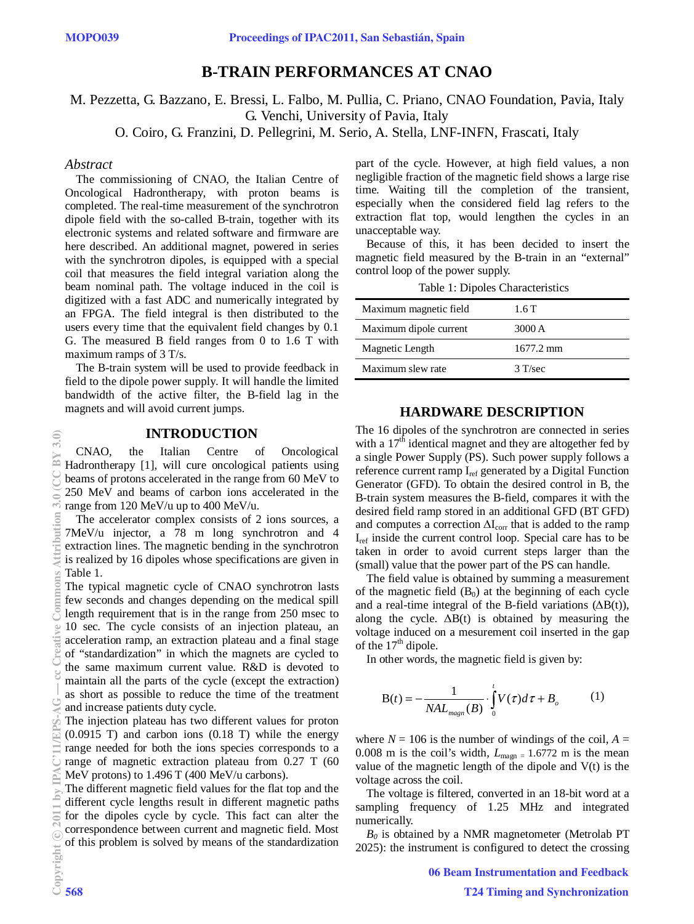# **B-TRAIN PERFORMANCES AT CNAO**

M. Pezzetta, G. Bazzano, E. Bressi, L. Falbo, M. Pullia, C. Priano, CNAO Foundation, Pavia, Italy G. Venchi, University of Pavia, Italy

O. Coiro, G. Franzini, D. Pellegrini, M. Serio, A. Stella, LNF-INFN, Frascati, Italy

#### *Abstract*

The commissioning of CNAO, the Italian Centre of Oncological Hadrontherapy, with proton beams is completed. The real-time measurement of the synchrotron dipole field with the so-called B-train, together with its electronic systems and related software and firmware are here described. An additional magnet, powered in series with the synchrotron dipoles, is equipped with a special coil that measures the field integral variation along the beam nominal path. The voltage induced in the coil is digitized with a fast ADC and numerically integrated by an FPGA. The field integral is then distributed to the users every time that the equivalent field changes by 0.1 G. The measured B field ranges from 0 to 1.6 T with maximum ramps of 3 T/s.

The B-train system will be used to provide feedback in field to the dipole power supply. It will handle the limited bandwidth of the active filter, the B-field lag in the magnets and will avoid current jumps.

#### **INTRODUCTION**

CNAO, the Italian Centre of Oncological Hadrontherapy [1], will cure oncological patients using beams of protons accelerated in the range from 60 MeV to 250 MeV and beams of carbon ions accelerated in the range from 120 MeV/u up to 400 MeV/u.

The accelerator complex consists of 2 ions sources, a 7MeV/u injector, a 78 m long synchrotron and 4 extraction lines. The magnetic bending in the synchrotron is realized by 16 dipoles whose specifications are given in Table 1.

The typical magnetic cycle of CNAO synchrotron lasts few seconds and changes depending on the medical spill length requirement that is in the range from 250 msec to 10 sec. The cycle consists of an injection plateau, an acceleration ramp, an extraction plateau and a final stage of "standardization" in which the magnets are cycled to the same maximum current value. R&D is devoted to maintain all the parts of the cycle (except the extraction) as short as possible to reduce the time of the treatment and increase patients duty cycle.

The injection plateau has two different values for proton (0.0915 T) and carbon ions (0.18 T) while the energy range needed for both the ions species corresponds to a range of magnetic extraction plateau from 0.27 T (60 MeV protons) to 1.496 T (400 MeV/u carbons).

The different magnetic field values for the flat top and the different cycle lengths result in different magnetic paths for the dipoles cycle by cycle. This fact can alter the correspondence between current and magnetic field. Most of this problem is solved by means of the standardization part of the cycle. However, at high field values, a non negligible fraction of the magnetic field shows a large rise time. Waiting till the completion of the transient, especially when the considered field lag refers to the extraction flat top, would lengthen the cycles in an unacceptable way.

Because of this, it has been decided to insert the magnetic field measured by the B-train in an "external" control loop of the power supply.

| Table 1: Dipoles Characteristics |  |
|----------------------------------|--|
|----------------------------------|--|

| Maximum magnetic field | 1.6 T     |
|------------------------|-----------|
| Maximum dipole current | 3000 A    |
| Magnetic Length        | 1677.2 mm |
| Maximum slew rate      | $3$ T/sec |

### **HARDWARE DESCRIPTION**

The 16 dipoles of the synchrotron are connected in series with a  $17<sup>th</sup>$  identical magnet and they are altogether fed by a single Power Supply (PS). Such power supply follows a reference current ramp Iref generated by a Digital Function Generator (GFD). To obtain the desired control in B, the B-train system measures the B-field, compares it with the desired field ramp stored in an additional GFD (BT GFD) and computes a correction  $\Delta I_{\rm corr}$  that is added to the ramp Iref inside the current control loop. Special care has to be taken in order to avoid current steps larger than the (small) value that the power part of the PS can handle.

The field value is obtained by summing a measurement of the magnetic field  $(B_0)$  at the beginning of each cycle and a real-time integral of the B-field variations  $(\Delta B(t))$ , along the cycle.  $\Delta B(t)$  is obtained by measuring the voltage induced on a mesurement coil inserted in the gap of the  $17<sup>th</sup>$  dipole.

In other words, the magnetic field is given by:

$$
B(t) = -\frac{1}{NAL_{magn}(B)} \cdot \int_{0}^{t} V(\tau) d\tau + B_o \tag{1}
$$

where  $N = 106$  is the number of windings of the coil,  $A =$ 0.008 m is the coil's width,  $L_{\text{magn}} = 1.6772$  m is the mean value of the magnetic length of the dipole and V(t) is the voltage across the coil.

The voltage is filtered, converted in an 18-bit word at a sampling frequency of 1.25 MHz and integrated numerically.

 $B_0$  is obtained by a NMR magnetometer (Metrolab PT 2025): the instrument is configured to detect the crossing

 $\overline{3.0}$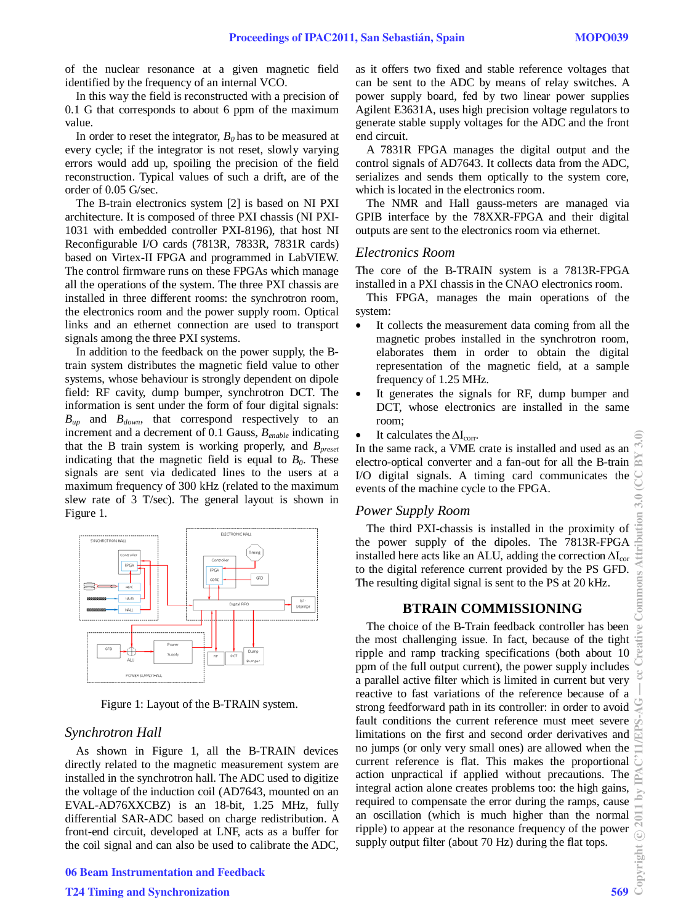of the nuclear resonance at a given magnetic field identified by the frequency of an internal VCO.

In this way the field is reconstructed with a precision of 0.1 G that corresponds to about 6 ppm of the maximum value.

In order to reset the integrator,  $B_0$  has to be measured at every cycle; if the integrator is not reset, slowly varying errors would add up, spoiling the precision of the field reconstruction. Typical values of such a drift, are of the order of 0.05 G/sec.

The B-train electronics system [2] is based on NI PXI architecture. It is composed of three PXI chassis (NI PXI-1031 with embedded controller PXI-8196), that host NI Reconfigurable I/O cards (7813R, 7833R, 7831R cards) based on Virtex-II FPGA and programmed in LabVIEW. The control firmware runs on these FPGAs which manage all the operations of the system. The three PXI chassis are installed in three different rooms: the synchrotron room, the electronics room and the power supply room. Optical links and an ethernet connection are used to transport signals among the three PXI systems.

In addition to the feedback on the power supply, the Btrain system distributes the magnetic field value to other systems, whose behaviour is strongly dependent on dipole field: RF cavity, dump bumper, synchrotron DCT. The information is sent under the form of four digital signals:  $B_{up}$  and  $B_{down}$ , that correspond respectively to an increment and a decrement of 0.1 Gauss, *Benable* indicating that the B train system is working properly, and  $B_{\text{present}}$ indicating that the magnetic field is equal to  $B_0$ . These signals are sent via dedicated lines to the users at a maximum frequency of 300 kHz (related to the maximum slew rate of 3 T/sec). The general layout is shown in Figure 1.



Figure 1: Layout of the B-TRAIN system.

### *Synchrotron Hall*

As shown in Figure 1, all the B-TRAIN devices directly related to the magnetic measurement system are installed in the synchrotron hall. The ADC used to digitize the voltage of the induction coil (AD7643, mounted on an EVAL-AD76XXCBZ) is an 18-bit, 1.25 MHz, fully differential SAR-ADC based on charge redistribution. A front-end circuit, developed at LNF, acts as a buffer for the coil signal and can also be used to calibrate the ADC, as it offers two fixed and stable reference voltages that can be sent to the ADC by means of relay switches. A power supply board, fed by two linear power supplies Agilent E3631A, uses high precision voltage regulators to generate stable supply voltages for the ADC and the front end circuit.

A 7831R FPGA manages the digital output and the control signals of AD7643. It collects data from the ADC, serializes and sends them optically to the system core, which is located in the electronics room.

The NMR and Hall gauss-meters are managed via GPIB interface by the 78XXR-FPGA and their digital outputs are sent to the electronics room via ethernet.

#### *Electronics Room*

The core of the B-TRAIN system is a 7813R-FPGA installed in a PXI chassis in the CNAO electronics room.

This FPGA, manages the main operations of the system:

- It collects the measurement data coming from all the magnetic probes installed in the synchrotron room, elaborates them in order to obtain the digital representation of the magnetic field, at a sample frequency of 1.25 MHz.
- It generates the signals for RF, dump bumper and DCT, whose electronics are installed in the same room;
- 

• It calculates the  $\Delta I_{\text{corr}}$ .<br>In the same rack, a VME crate is installed and used as an electro-optical converter and a fan-out for all the B-train I/O digital signals. A timing card communicates the events of the machine cycle to the FPGA.

### *Power Supply Room*

The third PXI-chassis is installed in the proximity of the power supply of the dipoles. The 7813R-FPGA installed here acts like an ALU, adding the correction  $\Delta I_{cor}$ to the digital reference current provided by the PS GFD. The resulting digital signal is sent to the PS at 20 kHz.

### **BTRAIN COMMISSIONING**

The choice of the B-Train feedback controller has been the most challenging issue. In fact, because of the tight ripple and ramp tracking specifications (both about 10 ppm of the full output current), the power supply includes a parallel active filter which is limited in current but very reactive to fast variations of the reference because of a strong feedforward path in its controller: in order to avoid fault conditions the current reference must meet severe limitations on the first and second order derivatives and no jumps (or only very small ones) are allowed when the current reference is flat. This makes the proportional action unpractical if applied without precautions. The integral action alone creates problems too: the high gains, required to compensate the error during the ramps, cause an oscillation (which is much higher than the normal ripple) to appear at the resonance frequency of the power supply output filter (about 70 Hz) during the flat tops.